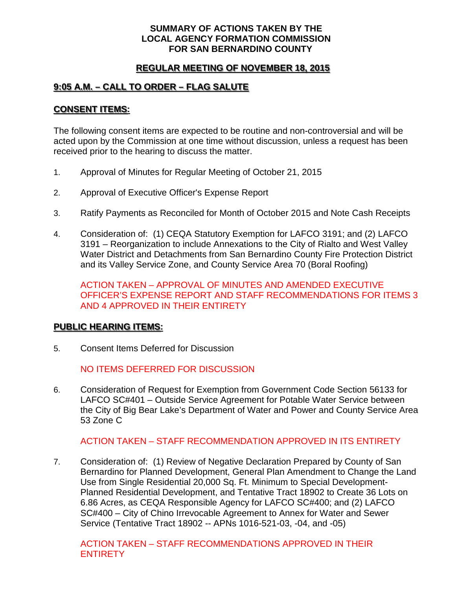### **SUMMARY OF ACTIONS TAKEN BY THE LOCAL AGENCY FORMATION COMMISSION FOR SAN BERNARDINO COUNTY**

## **REGULAR MEETING OF NOVEMBER 18, 2015**

## **9:05 A.M. – CALL TO ORDER – FLAG SALUTE**

### **CONSENT ITEMS:**

The following consent items are expected to be routine and non-controversial and will be acted upon by the Commission at one time without discussion, unless a request has been received prior to the hearing to discuss the matter.

- 1. Approval of Minutes for Regular Meeting of October 21, 2015
- 2. Approval of Executive Officer's Expense Report
- 3. Ratify Payments as Reconciled for Month of October 2015 and Note Cash Receipts
- 4. Consideration of: (1) CEQA Statutory Exemption for LAFCO 3191; and (2) LAFCO 3191 – Reorganization to include Annexations to the City of Rialto and West Valley Water District and Detachments from San Bernardino County Fire Protection District and its Valley Service Zone, and County Service Area 70 (Boral Roofing)

ACTION TAKEN – APPROVAL OF MINUTES AND AMENDED EXECUTIVE OFFICER'S EXPENSE REPORT AND STAFF RECOMMENDATIONS FOR ITEMS 3 AND 4 APPROVED IN THEIR ENTIRETY

#### **PUBLIC HEARING ITEMS:**

5. Consent Items Deferred for Discussion

NO ITEMS DEFERRED FOR DISCUSSION

6. Consideration of Request for Exemption from Government Code Section 56133 for LAFCO SC#401 – Outside Service Agreement for Potable Water Service between the City of Big Bear Lake's Department of Water and Power and County Service Area 53 Zone C

ACTION TAKEN – STAFF RECOMMENDATION APPROVED IN ITS ENTIRETY

7. Consideration of: (1) Review of Negative Declaration Prepared by County of San Bernardino for Planned Development, General Plan Amendment to Change the Land Use from Single Residential 20,000 Sq. Ft. Minimum to Special Development-Planned Residential Development, and Tentative Tract 18902 to Create 36 Lots on 6.86 Acres, as CEQA Responsible Agency for LAFCO SC#400; and (2) LAFCO SC#400 – City of Chino Irrevocable Agreement to Annex for Water and Sewer Service (Tentative Tract 18902 -- APNs 1016-521-03, -04, and -05)

ACTION TAKEN – STAFF RECOMMENDATIONS APPROVED IN THEIR **ENTIRETY**